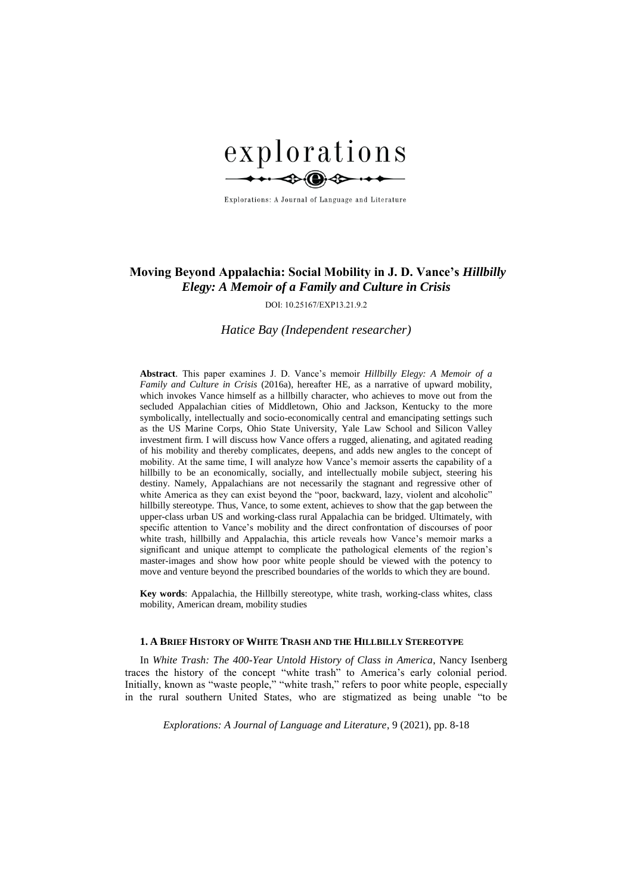

Explorations: A Journal of Language and Literature

# **Moving Beyond Appalachia: Social Mobility in J. D. Vance's** *Hillbilly Elegy: A Memoir of a Family and Culture in Crisis*

DOI: 10.25167/EXP13.21.9.2

*Hatice Bay (Independent researcher)*

**Abstract**. This paper examines J. D. Vance's memoir *Hillbilly Elegy: A Memoir of a Family and Culture in Crisis* (2016a), hereafter HE, as a narrative of upward mobility, which invokes Vance himself as a hillbilly character, who achieves to move out from the secluded Appalachian cities of Middletown, Ohio and Jackson, Kentucky to the more symbolically, intellectually and socio-economically central and emancipating settings such as the US Marine Corps, Ohio State University, Yale Law School and Silicon Valley investment firm. I will discuss how Vance offers a rugged, alienating, and agitated reading of his mobility and thereby complicates, deepens, and adds new angles to the concept of mobility. At the same time, I will analyze how Vance's memoir asserts the capability of a hillbilly to be an economically, socially, and intellectually mobile subject, steering his destiny. Namely, Appalachians are not necessarily the stagnant and regressive other of white America as they can exist beyond the "poor, backward, lazy, violent and alcoholic" hillbilly stereotype. Thus, Vance, to some extent, achieves to show that the gap between the upper-class urban US and working-class rural Appalachia can be bridged. Ultimately, with specific attention to Vance's mobility and the direct confrontation of discourses of poor white trash, hillbilly and Appalachia, this article reveals how Vance's memoir marks a significant and unique attempt to complicate the pathological elements of the region's master-images and show how poor white people should be viewed with the potency to move and venture beyond the prescribed boundaries of the worlds to which they are bound.

**Key words**: Appalachia, the Hillbilly stereotype, white trash, working-class whites, class mobility, American dream, mobility studies

### **1. A BRIEF HISTORY OF WHITE TRASH AND THE HILLBILLY STEREOTYPE**

In *White Trash: The 400-Year Untold History of Class in America*, Nancy Isenberg traces the history of the concept "white trash" to America's early colonial period. Initially, known as "waste people," "white trash," refers to poor white people, especially in the rural southern United States, who are stigmatized as being unable "to be

*Explorations: A Journal of Language and Literature*, 9 (2021), pp. 8-18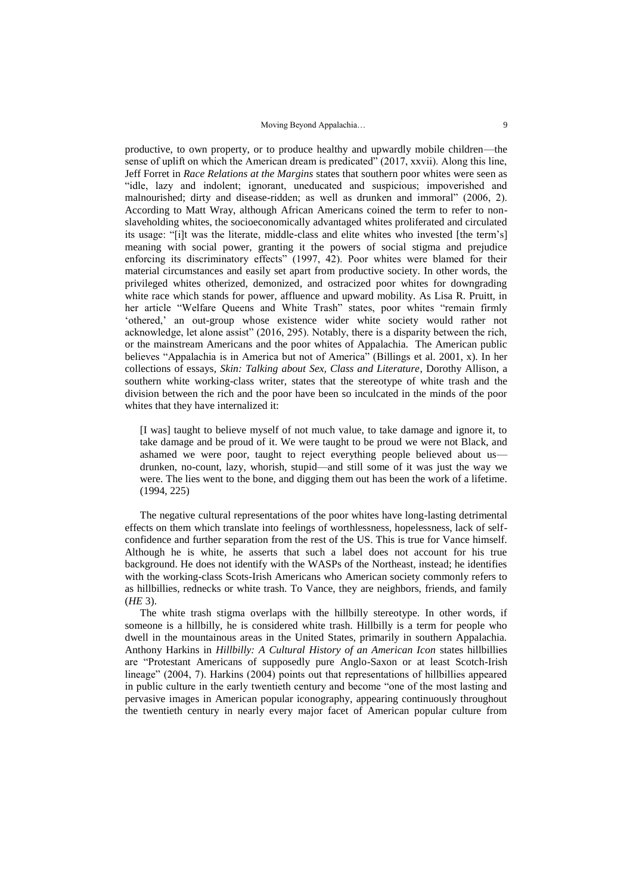productive, to own property, or to produce healthy and upwardly mobile children—the sense of uplift on which the American dream is predicated" (2017, xxvii). Along this line, Jeff Forret in *Race Relations at the Margins* states that southern poor whites were seen as "idle, lazy and indolent; ignorant, uneducated and suspicious; impoverished and malnourished; dirty and disease-ridden; as well as drunken and immoral" (2006, 2). According to Matt Wray, although African Americans coined the term to refer to nonslaveholding whites, the socioeconomically advantaged whites proliferated and circulated its usage: "[i]t was the literate, middle-class and elite whites who invested [the term's] meaning with social power, granting it the powers of social stigma and prejudice enforcing its discriminatory effects" (1997, 42). Poor whites were blamed for their material circumstances and easily set apart from productive society. In other words, the privileged whites otherized, demonized, and ostracized poor whites for downgrading white race which stands for power, affluence and upward mobility. As Lisa R. Pruitt, in her article "Welfare Queens and White Trash" states, poor whites "remain firmly 'othered,' an out-group whose existence wider white society would rather not acknowledge, let alone assist" (2016, 295). Notably, there is a disparity between the rich, or the mainstream Americans and the poor whites of Appalachia. The American public believes "Appalachia is in America but not of America" (Billings et al. 2001, x). In her collections of essays, *Skin: Talking about Sex, Class and Literature*, Dorothy Allison, a southern white working-class writer, states that the stereotype of white trash and the division between the rich and the poor have been so inculcated in the minds of the poor whites that they have internalized it:

[I was] taught to believe myself of not much value, to take damage and ignore it, to take damage and be proud of it. We were taught to be proud we were not Black, and ashamed we were poor, taught to reject everything people believed about us drunken, no-count, lazy, whorish, stupid—and still some of it was just the way we were. The lies went to the bone, and digging them out has been the work of a lifetime. (1994, 225)

The negative cultural representations of the poor whites have long-lasting detrimental effects on them which translate into feelings of worthlessness, hopelessness, lack of selfconfidence and further separation from the rest of the US. This is true for Vance himself. Although he is white, he asserts that such a label does not account for his true background. He does not identify with the WASPs of the Northeast, instead; he identifies with the working-class Scots-Irish Americans who American society commonly refers to as hillbillies, rednecks or white trash. To Vance, they are neighbors, friends, and family (*HE* 3).

The white trash stigma overlaps with the hillbilly stereotype. In other words, if someone is a hillbilly, he is considered white trash. Hillbilly is a term for people who dwell in the mountainous areas in the United States, primarily in southern Appalachia. Anthony Harkins in *Hillbilly: A Cultural History of an American Icon* states hillbillies are "Protestant Americans of supposedly pure Anglo-Saxon or at least Scotch-Irish lineage" (2004, 7). Harkins (2004) points out that representations of hillbillies appeared in public culture in the early twentieth century and become "one of the most lasting and pervasive images in American popular iconography, appearing continuously throughout the twentieth century in nearly every major facet of American popular culture from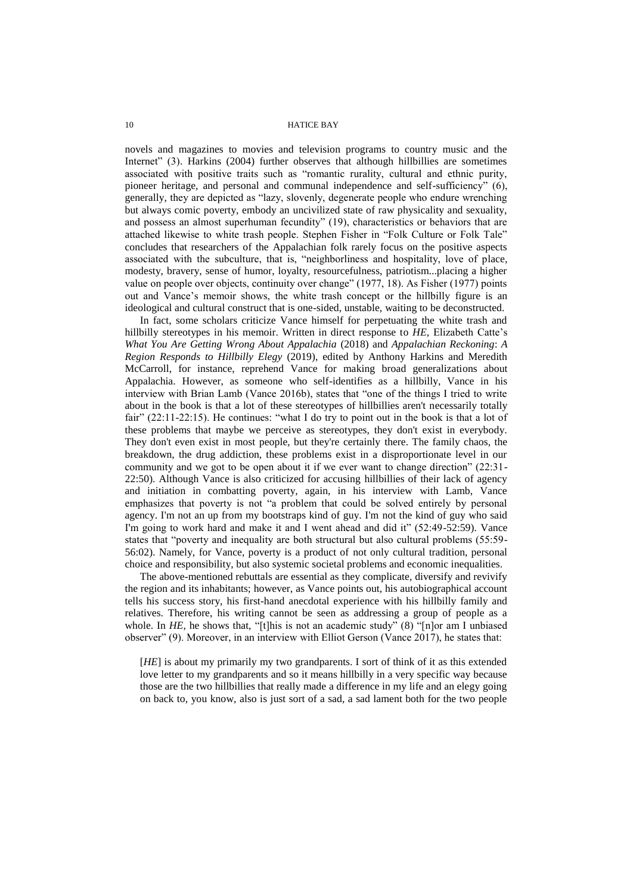novels and magazines to movies and television programs to country music and the Internet" (3). Harkins (2004) further observes that although hillbillies are sometimes associated with positive traits such as "romantic rurality, cultural and ethnic purity, pioneer heritage, and personal and communal independence and self-sufficiency" (6), generally, they are depicted as "lazy, slovenly, degenerate people who endure wrenching but always comic poverty, embody an uncivilized state of raw physicality and sexuality, and possess an almost superhuman fecundity" (19), characteristics or behaviors that are attached likewise to white trash people. Stephen Fisher in "Folk Culture or Folk Tale" concludes that researchers of the Appalachian folk rarely focus on the positive aspects associated with the subculture, that is, "neighborliness and hospitality, love of place, modesty, bravery, sense of humor, loyalty, resourcefulness, patriotism...placing a higher value on people over objects, continuity over change" (1977, 18). As Fisher (1977) points out and Vance's memoir shows, the white trash concept or the hillbilly figure is an ideological and cultural construct that is one-sided, unstable, waiting to be deconstructed.

In fact, some scholars criticize Vance himself for perpetuating the white trash and hillbilly stereotypes in his memoir. Written in direct response to *HE,* Elizabeth Catte's *What You Are Getting Wrong About Appalachia* (2018) and *Appalachian Reckoning*: *A Region Responds to Hillbilly Elegy* (2019), edited by Anthony Harkins and Meredith McCarroll, for instance, reprehend Vance for making broad generalizations about Appalachia. However, as someone who self-identifies as a hillbilly, Vance in his interview with Brian Lamb (Vance 2016b), states that "one of the things I tried to write about in the book is that a lot of these stereotypes of hillbillies aren't necessarily totally fair" (22:11-22:15). He continues: "what I do try to point out in the book is that a lot of these problems that maybe we perceive as stereotypes, they don't exist in everybody. They don't even exist in most people, but they're certainly there. The family chaos, the breakdown, the drug addiction, these problems exist in a disproportionate level in our community and we got to be open about it if we ever want to change direction" (22:31- 22:50). Although Vance is also criticized for accusing hillbillies of their lack of agency and initiation in combatting poverty, again, in his interview with Lamb, Vance emphasizes that poverty is not "a problem that could be solved entirely by personal agency. I'm not an up from my bootstraps kind of guy. I'm not the kind of guy who said I'm going to work hard and make it and I went ahead and did it" (52:49-52:59). Vance states that "poverty and inequality are both structural but also cultural problems (55:59- 56:02). Namely, for Vance, poverty is a product of not only cultural tradition, personal choice and responsibility, but also systemic societal problems and economic inequalities.

The above-mentioned rebuttals are essential as they complicate, diversify and revivify the region and its inhabitants; however, as Vance points out, his autobiographical account tells his success story, his first-hand anecdotal experience with his hillbilly family and relatives. Therefore, his writing cannot be seen as addressing a group of people as a whole. In *HE*, he shows that, "[t]his is not an academic study" (8) "[n]or am I unbiased observer" (9). Moreover, in an interview with Elliot Gerson (Vance 2017), he states that:

[*HE*] is about my primarily my two grandparents. I sort of think of it as this extended love letter to my grandparents and so it means hillbilly in a very specific way because those are the two hillbillies that really made a difference in my life and an elegy going on back to, you know, also is just sort of a sad, a sad lament both for the two people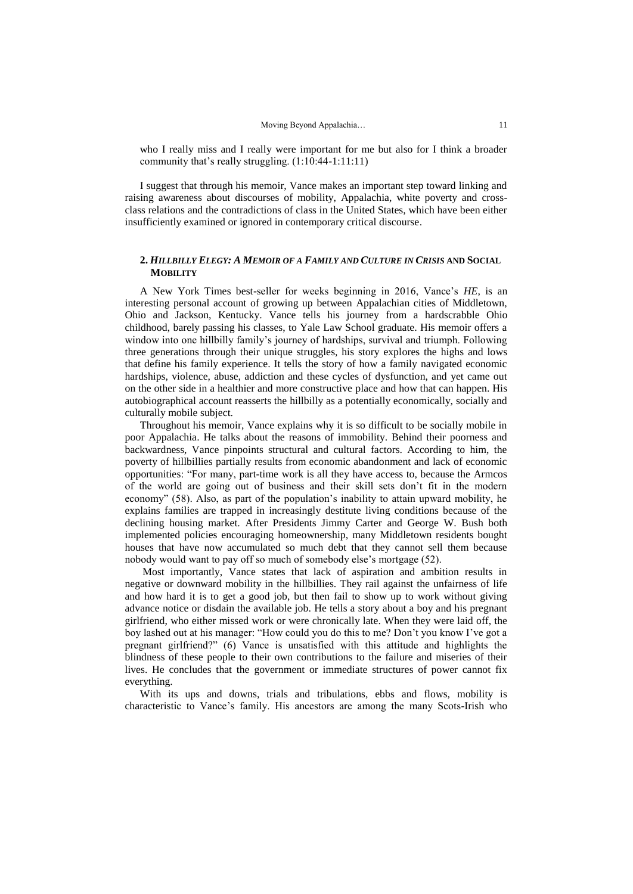who I really miss and I really were important for me but also for I think a broader community that's really struggling. (1:10:44-1:11:11)

I suggest that through his memoir, Vance makes an important step toward linking and raising awareness about discourses of mobility, Appalachia, white poverty and crossclass relations and the contradictions of class in the United States, which have been either insufficiently examined or ignored in contemporary critical discourse.

## **2.** *HILLBILLY ELEGY: A MEMOIR OF A FAMILY AND CULTURE IN CRISIS* **AND SOCIAL MOBILITY**

A New York Times best-seller for weeks beginning in 2016, Vance's *HE*, is an interesting personal account of growing up between Appalachian cities of Middletown, Ohio and Jackson, Kentucky. Vance tells his journey from a hardscrabble Ohio childhood, barely passing his classes, to Yale Law School graduate. His memoir offers a window into one hillbilly family's journey of hardships, survival and triumph. Following three generations through their unique struggles, his story explores the highs and lows that define his family experience. It tells the story of how a family navigated economic hardships, violence, abuse, addiction and these cycles of dysfunction, and yet came out on the other side in a healthier and more constructive place and how that can happen. His autobiographical account reasserts the hillbilly as a potentially economically, socially and culturally mobile subject.

Throughout his memoir, Vance explains why it is so difficult to be socially mobile in poor Appalachia. He talks about the reasons of immobility. Behind their poorness and backwardness, Vance pinpoints structural and cultural factors. According to him, the poverty of hillbillies partially results from economic abandonment and lack of economic opportunities: "For many, part-time work is all they have access to, because the Armcos of the world are going out of business and their skill sets don't fit in the modern economy" (58). Also, as part of the population's inability to attain upward mobility, he explains families are trapped in increasingly destitute living conditions because of the declining housing market. After Presidents Jimmy Carter and George W. Bush both implemented policies encouraging homeownership, many Middletown residents bought houses that have now accumulated so much debt that they cannot sell them because nobody would want to pay off so much of somebody else's mortgage (52).

Most importantly, Vance states that lack of aspiration and ambition results in negative or downward mobility in the hillbillies. They rail against the unfairness of life and how hard it is to get a good job, but then fail to show up to work without giving advance notice or disdain the available job. He tells a story about a boy and his pregnant girlfriend, who either missed work or were chronically late. When they were laid off, the boy lashed out at his manager: "How could you do this to me? Don't you know I've got a pregnant girlfriend?" (6) Vance is unsatisfied with this attitude and highlights the blindness of these people to their own contributions to the failure and miseries of their lives. He concludes that the government or immediate structures of power cannot fix everything.

With its ups and downs, trials and tribulations, ebbs and flows, mobility is characteristic to Vance's family. His ancestors are among the many Scots-Irish who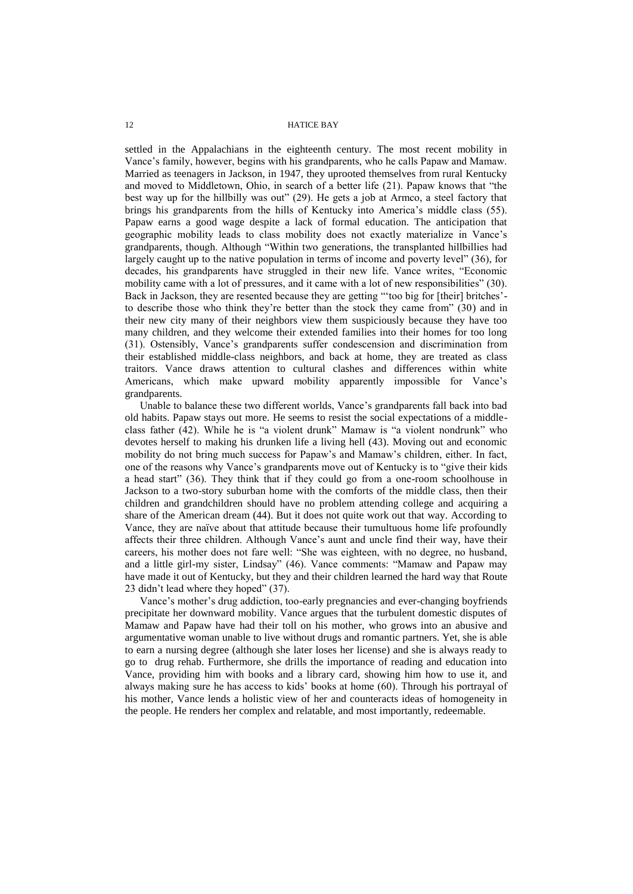settled in the Appalachians in the eighteenth century. The most recent mobility in Vance's family, however, begins with his grandparents, who he calls Papaw and Mamaw. Married as teenagers in Jackson, in 1947, they uprooted themselves from rural Kentucky and moved to Middletown, Ohio, in search of a better life (21). Papaw knows that "the best way up for the hillbilly was out" (29). He gets a job at Armco, a steel factory that brings his grandparents from the hills of Kentucky into America's middle class (55). Papaw earns a good wage despite a lack of formal education. The anticipation that geographic mobility leads to class mobility does not exactly materialize in Vance's grandparents, though. Although "Within two generations, the transplanted hillbillies had largely caught up to the native population in terms of income and poverty level" (36), for decades, his grandparents have struggled in their new life. Vance writes, "Economic mobility came with a lot of pressures, and it came with a lot of new responsibilities" (30). Back in Jackson, they are resented because they are getting "'too big for [their] britches' to describe those who think they're better than the stock they came from" (30) and in their new city many of their neighbors view them suspiciously because they have too many children, and they welcome their extended families into their homes for too long (31). Ostensibly, Vance's grandparents suffer condescension and discrimination from their established middle-class neighbors, and back at home, they are treated as class traitors. Vance draws attention to cultural clashes and differences within white Americans, which make upward mobility apparently impossible for Vance's grandparents.

Unable to balance these two different worlds, Vance's grandparents fall back into bad old habits. Papaw stays out more. He seems to resist the social expectations of a middleclass father (42). While he is "a violent drunk" Mamaw is "a violent nondrunk" who devotes herself to making his drunken life a living hell (43). Moving out and economic mobility do not bring much success for Papaw's and Mamaw's children, either. In fact, one of the reasons why Vance's grandparents move out of Kentucky is to "give their kids a head start" (36). They think that if they could go from a one-room schoolhouse in Jackson to a two-story suburban home with the comforts of the middle class, then their children and grandchildren should have no problem attending college and acquiring a share of the American dream (44). But it does not quite work out that way. According to Vance, they are naïve about that attitude because their tumultuous home life profoundly affects their three children. Although Vance's aunt and uncle find their way, have their careers, his mother does not fare well: "She was eighteen, with no degree, no husband, and a little girl-my sister, Lindsay" (46). Vance comments: "Mamaw and Papaw may have made it out of Kentucky, but they and their children learned the hard way that Route 23 didn't lead where they hoped" (37).

Vance's mother's drug addiction, too-early pregnancies and ever-changing boyfriends precipitate her downward mobility. Vance argues that the turbulent domestic disputes of Mamaw and Papaw have had their toll on his mother, who grows into an abusive and argumentative woman unable to live without drugs and romantic partners. Yet, she is able to earn a nursing degree (although she later loses her license) and she is always ready to go to drug rehab. Furthermore, she drills the importance of reading and education into Vance, providing him with books and a library card, showing him how to use it, and always making sure he has access to kids' books at home (60). Through his portrayal of his mother, Vance lends a holistic view of her and counteracts ideas of homogeneity in the people. He renders her complex and relatable, and most importantly, redeemable.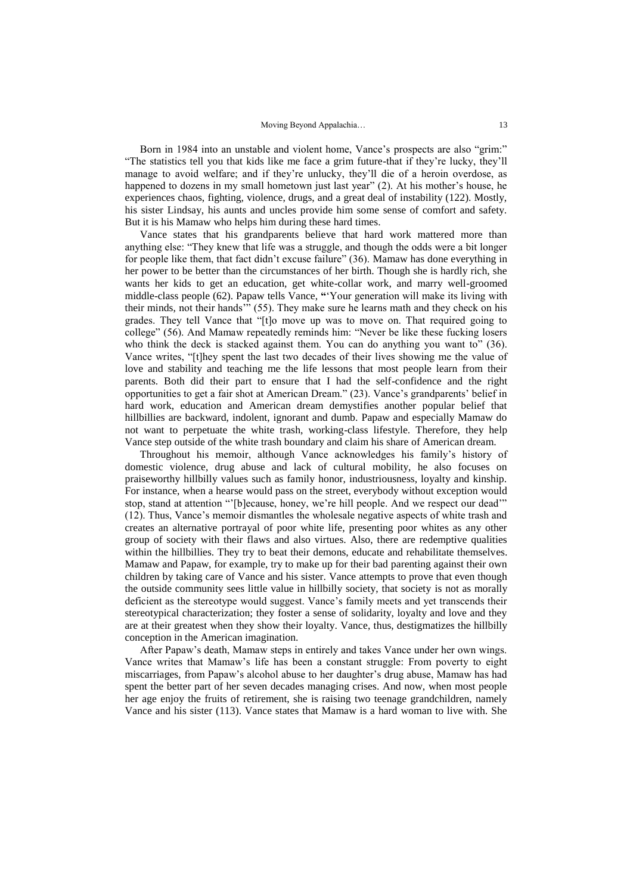Born in 1984 into an unstable and violent home, Vance's prospects are also "grim:" "The statistics tell you that kids like me face a grim future-that if they're lucky, they'll manage to avoid welfare; and if they're unlucky, they'll die of a heroin overdose, as happened to dozens in my small hometown just last year" (2). At his mother's house, he experiences chaos, fighting, violence, drugs, and a great deal of instability (122). Mostly, his sister Lindsay, his aunts and uncles provide him some sense of comfort and safety. But it is his Mamaw who helps him during these hard times.

Vance states that his grandparents believe that hard work mattered more than anything else: "They knew that life was a struggle, and though the odds were a bit longer for people like them, that fact didn't excuse failure" (36). Mamaw has done everything in her power to be better than the circumstances of her birth. Though she is hardly rich, she wants her kids to get an education, get white-collar work, and marry well-groomed middle-class people (62). Papaw tells Vance, **"**'Your generation will make its living with their minds, not their hands'" (55). They make sure he learns math and they check on his grades. They tell Vance that "[t]o move up was to move on. That required going to college" (56). And Mamaw repeatedly reminds him: "Never be like these fucking losers who think the deck is stacked against them. You can do anything you want to" (36). Vance writes, "[t]hey spent the last two decades of their lives showing me the value of love and stability and teaching me the life lessons that most people learn from their parents. Both did their part to ensure that I had the self-confidence and the right opportunities to get a fair shot at American Dream." (23). Vance's grandparents' belief in hard work, education and American dream demystifies another popular belief that hillbillies are backward, indolent, ignorant and dumb. Papaw and especially Mamaw do not want to perpetuate the white trash, working-class lifestyle. Therefore, they help Vance step outside of the white trash boundary and claim his share of American dream.

Throughout his memoir, although Vance acknowledges his family's history of domestic violence, drug abuse and lack of cultural mobility, he also focuses on praiseworthy hillbilly values such as family honor, industriousness, loyalty and kinship. For instance, when a hearse would pass on the street, everybody without exception would stop, stand at attention "'[b]ecause, honey, we're hill people. And we respect our dead'" (12). Thus, Vance's memoir dismantles the wholesale negative aspects of white trash and creates an alternative portrayal of poor white life, presenting poor whites as any other group of society with their flaws and also virtues. Also, there are redemptive qualities within the hillbillies. They try to beat their demons, educate and rehabilitate themselves. Mamaw and Papaw, for example, try to make up for their bad parenting against their own children by taking care of Vance and his sister. Vance attempts to prove that even though the outside community sees little value in hillbilly society, that society is not as morally deficient as the stereotype would suggest. Vance's family meets and yet transcends their stereotypical characterization; they foster a sense of solidarity, loyalty and love and they are at their greatest when they show their loyalty. Vance, thus, destigmatizes the hillbilly conception in the American imagination.

After Papaw's death, Mamaw steps in entirely and takes Vance under her own wings. Vance writes that Mamaw's life has been a constant struggle: From poverty to eight miscarriages, from Papaw's alcohol abuse to her daughter's drug abuse, Mamaw has had spent the better part of her seven decades managing crises. And now, when most people her age enjoy the fruits of retirement, she is raising two teenage grandchildren, namely Vance and his sister (113). Vance states that Mamaw is a hard woman to live with. She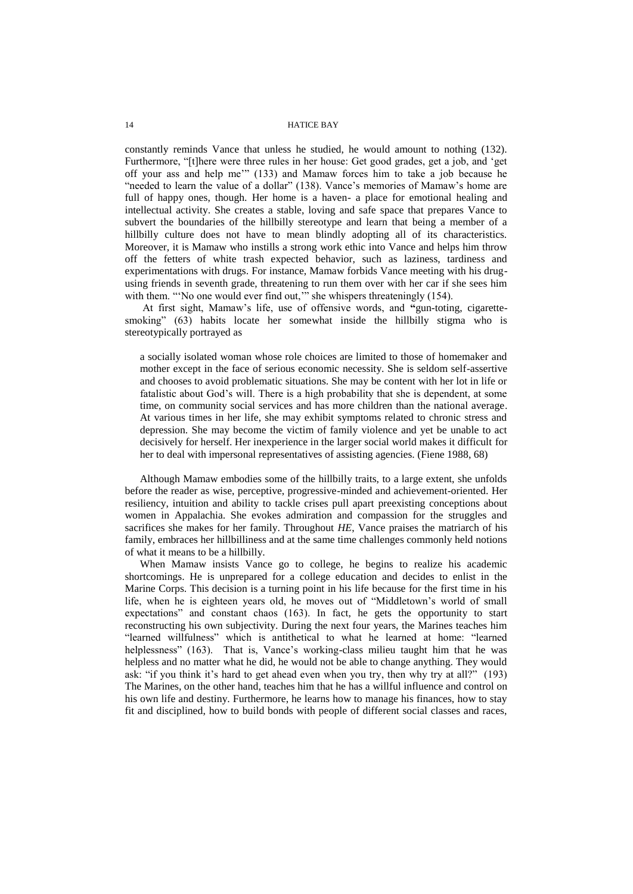constantly reminds Vance that unless he studied, he would amount to nothing (132). Furthermore, "[t]here were three rules in her house: Get good grades, get a job, and 'get off your ass and help me'" (133) and Mamaw forces him to take a job because he "needed to learn the value of a dollar" (138). Vance's memories of Mamaw's home are full of happy ones, though. Her home is a haven- a place for emotional healing and intellectual activity. She creates a stable, loving and safe space that prepares Vance to subvert the boundaries of the hillbilly stereotype and learn that being a member of a hillbilly culture does not have to mean blindly adopting all of its characteristics. Moreover, it is Mamaw who instills a strong work ethic into Vance and helps him throw off the fetters of white trash expected behavior, such as laziness, tardiness and experimentations with drugs. For instance, Mamaw forbids Vance meeting with his drugusing friends in seventh grade, threatening to run them over with her car if she sees him with them. "'No one would ever find out," she whispers threateningly (154).

At first sight, Mamaw's life, use of offensive words, and **"**gun-toting, cigarettesmoking" (63) habits locate her somewhat inside the hillbilly stigma who is stereotypically portrayed as

a socially isolated woman whose role choices are limited to those of homemaker and mother except in the face of serious economic necessity. She is seldom self-assertive and chooses to avoid problematic situations. She may be content with her lot in life or fatalistic about God's will. There is a high probability that she is dependent, at some time, on community social services and has more children than the national average. At various times in her life, she may exhibit symptoms related to chronic stress and depression. She may become the victim of family violence and yet be unable to act decisively for herself. Her inexperience in the larger social world makes it difficult for her to deal with impersonal representatives of assisting agencies. (Fiene 1988, 68)

Although Mamaw embodies some of the hillbilly traits, to a large extent, she unfolds before the reader as wise, perceptive, progressive-minded and achievement-oriented. Her resiliency, intuition and ability to tackle crises pull apart preexisting conceptions about women in Appalachia. She evokes admiration and compassion for the struggles and sacrifices she makes for her family. Throughout *HE*, Vance praises the matriarch of his family, embraces her hillbilliness and at the same time challenges commonly held notions of what it means to be a hillbilly.

When Mamaw insists Vance go to college, he begins to realize his academic shortcomings. He is unprepared for a college education and decides to enlist in the Marine Corps. This decision is a turning point in his life because for the first time in his life, when he is eighteen years old, he moves out of "Middletown's world of small expectations" and constant chaos (163). In fact, he gets the opportunity to start reconstructing his own subjectivity. During the next four years, the Marines teaches him "learned willfulness" which is antithetical to what he learned at home: "learned helplessness" (163). That is, Vance's working-class milieu taught him that he was helpless and no matter what he did, he would not be able to change anything. They would ask: "if you think it's hard to get ahead even when you try, then why try at all?" (193) The Marines, on the other hand, teaches him that he has a willful influence and control on his own life and destiny. Furthermore, he learns how to manage his finances, how to stay fit and disciplined, how to build bonds with people of different social classes and races,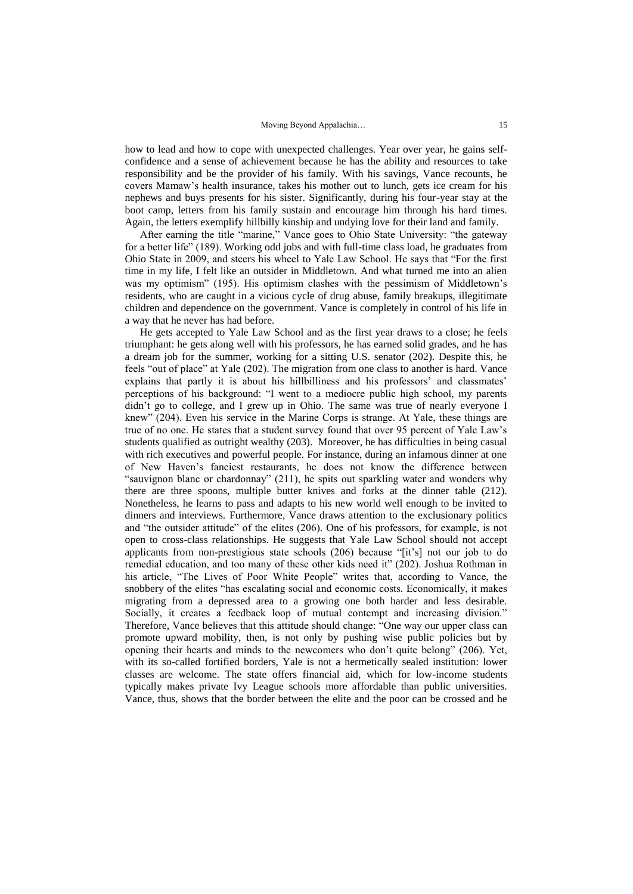how to lead and how to cope with unexpected challenges. Year over year, he gains selfconfidence and a sense of achievement because he has the ability and resources to take responsibility and be the provider of his family. With his savings, Vance recounts, he covers Mamaw's health insurance, takes his mother out to lunch, gets ice cream for his nephews and buys presents for his sister. Significantly, during his four-year stay at the boot camp, letters from his family sustain and encourage him through his hard times. Again, the letters exemplify hillbilly kinship and undying love for their land and family.

After earning the title "marine," Vance goes to Ohio State University: "the gateway for a better life" (189). Working odd jobs and with full-time class load, he graduates from Ohio State in 2009, and steers his wheel to Yale Law School. He says that "For the first time in my life, I felt like an outsider in Middletown. And what turned me into an alien was my optimism" (195). His optimism clashes with the pessimism of Middletown's residents, who are caught in a vicious cycle of drug abuse, family breakups, illegitimate children and dependence on the government. Vance is completely in control of his life in a way that he never has had before.

He gets accepted to Yale Law School and as the first year draws to a close; he feels triumphant: he gets along well with his professors, he has earned solid grades, and he has a dream job for the summer, working for a sitting U.S. senator (202). Despite this, he feels "out of place" at Yale (202). The migration from one class to another is hard. Vance explains that partly it is about his hillbilliness and his professors' and classmates' perceptions of his background: "I went to a mediocre public high school, my parents didn't go to college, and I grew up in Ohio. The same was true of nearly everyone I knew" (204). Even his service in the Marine Corps is strange. At Yale, these things are true of no one. He states that a student survey found that over 95 percent of Yale Law's students qualified as outright wealthy (203). Moreover, he has difficulties in being casual with rich executives and powerful people. For instance, during an infamous dinner at one of New Haven's fanciest restaurants, he does not know the difference between "sauvignon blanc or chardonnay" (211), he spits out sparkling water and wonders why there are three spoons, multiple butter knives and forks at the dinner table (212). Nonetheless, he learns to pass and adapts to his new world well enough to be invited to dinners and interviews. Furthermore, Vance draws attention to the exclusionary politics and "the outsider attitude" of the elites (206). One of his professors, for example, is not open to cross-class relationships. He suggests that Yale Law School should not accept applicants from non-prestigious state schools (206) because "[it's] not our job to do remedial education, and too many of these other kids need it" (202). Joshua Rothman in his article, "The Lives of Poor White People" writes that, according to Vance, the snobbery of the elites "has escalating social and economic costs. Economically, it makes migrating from a depressed area to a growing one both harder and less desirable. Socially, it creates a feedback loop of mutual contempt and increasing division." Therefore, Vance believes that this attitude should change: "One way our upper class can promote upward mobility, then, is not only by pushing wise public policies but by opening their hearts and minds to the newcomers who don't quite belong" (206). Yet, with its so-called fortified borders, Yale is not a hermetically sealed institution: lower classes are welcome. The state offers financial aid, which for low-income students typically makes private Ivy League schools more affordable than public universities. Vance, thus, shows that the border between the elite and the poor can be crossed and he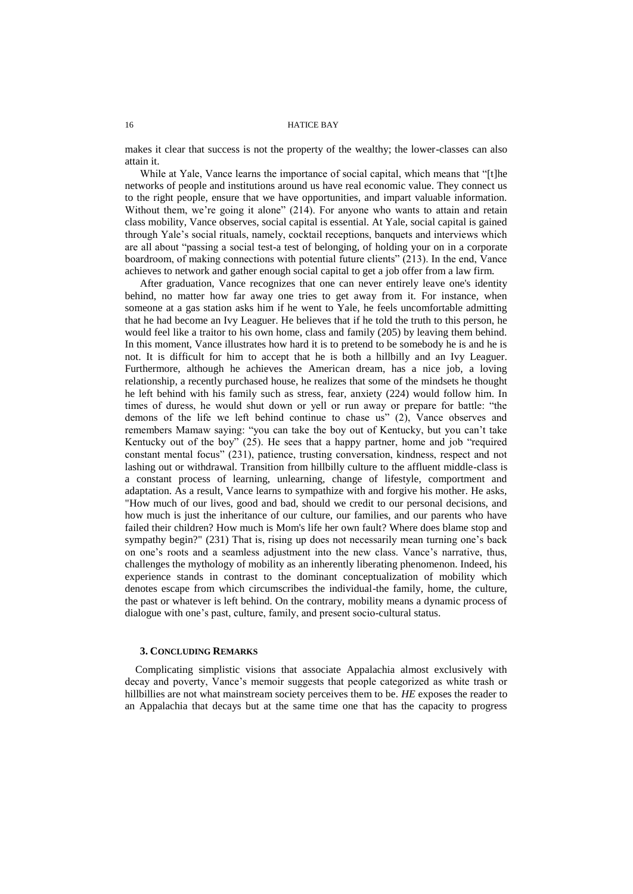makes it clear that success is not the property of the wealthy; the lower-classes can also attain it.

While at Yale, Vance learns the importance of social capital, which means that "[t]he networks of people and institutions around us have real economic value. They connect us to the right people, ensure that we have opportunities, and impart valuable information. Without them, we're going it alone" (214). For anyone who wants to attain and retain class mobility, Vance observes, social capital is essential. At Yale, social capital is gained through Yale's social rituals, namely, cocktail receptions, banquets and interviews which are all about "passing a social test-a test of belonging, of holding your on in a corporate boardroom, of making connections with potential future clients" (213). In the end, Vance achieves to network and gather enough social capital to get a job offer from a law firm.

After graduation, Vance recognizes that one can never entirely leave one's identity behind, no matter how far away one tries to get away from it. For instance, when someone at a gas station asks him if he went to Yale, he feels uncomfortable admitting that he had become an Ivy Leaguer. He believes that if he told the truth to this person, he would feel like a traitor to his own home, class and family (205) by leaving them behind. In this moment, Vance illustrates how hard it is to pretend to be somebody he is and he is not. It is difficult for him to accept that he is both a hillbilly and an Ivy Leaguer. Furthermore, although he achieves the American dream, has a nice job, a loving relationship, a recently purchased house, he realizes that some of the mindsets he thought he left behind with his family such as stress, fear, anxiety (224) would follow him. In times of duress, he would shut down or yell or run away or prepare for battle: "the demons of the life we left behind continue to chase us" (2), Vance observes and remembers Mamaw saying: "you can take the boy out of Kentucky, but you can't take Kentucky out of the boy" (25). He sees that a happy partner, home and job "required constant mental focus" (231), patience, trusting conversation, kindness, respect and not lashing out or withdrawal. Transition from hillbilly culture to the affluent middle-class is a constant process of learning, unlearning, change of lifestyle, comportment and adaptation. As a result, Vance learns to sympathize with and forgive his mother. He asks, "How much of our lives, good and bad, should we credit to our personal decisions, and how much is just the inheritance of our culture, our families, and our parents who have failed their children? How much is Mom's life her own fault? Where does blame stop and sympathy begin?" (231) That is, rising up does not necessarily mean turning one's back on one's roots and a seamless adjustment into the new class. Vance's narrative, thus, challenges the mythology of mobility as an inherently liberating phenomenon. Indeed, his experience stands in contrast to the dominant conceptualization of mobility which denotes escape from which circumscribes the individual-the family, home, the culture, the past or whatever is left behind. On the contrary, mobility means a dynamic process of dialogue with one's past, culture, family, and present socio-cultural status.

#### **3. CONCLUDING REMARKS**

Complicating simplistic visions that associate Appalachia almost exclusively with decay and poverty, Vance's memoir suggests that people categorized as white trash or hillbillies are not what mainstream society perceives them to be. *HE* exposes the reader to an Appalachia that decays but at the same time one that has the capacity to progress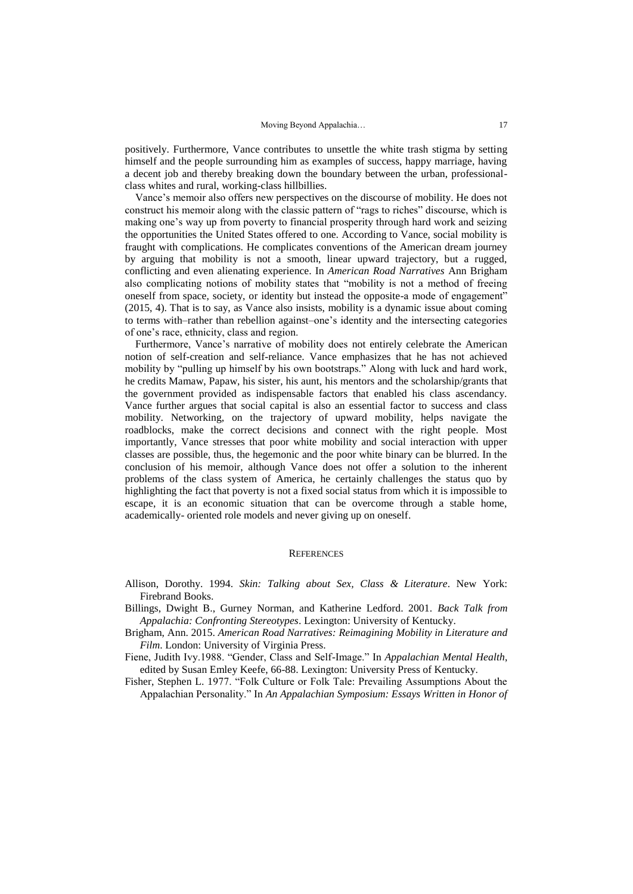positively. Furthermore, Vance contributes to unsettle the white trash stigma by setting himself and the people surrounding him as examples of success, happy marriage, having a decent job and thereby breaking down the boundary between the urban, professionalclass whites and rural, working-class hillbillies.

Vance's memoir also offers new perspectives on the discourse of mobility. He does not construct his memoir along with the classic pattern of "rags to riches" discourse, which is making one's way up from poverty to financial prosperity through hard work and seizing the opportunities the United States offered to one. According to Vance, social mobility is fraught with complications. He complicates conventions of the American dream journey by arguing that mobility is not a smooth, linear upward trajectory, but a rugged, conflicting and even alienating experience. In *American Road Narratives* Ann Brigham also complicating notions of mobility states that "mobility is not a method of freeing oneself from space, society, or identity but instead the opposite-a mode of engagement" (2015, 4). That is to say, as Vance also insists, mobility is a dynamic issue about coming to terms with–rather than rebellion against–one's identity and the intersecting categories of one's race, ethnicity, class and region.

Furthermore, Vance's narrative of mobility does not entirely celebrate the American notion of self-creation and self-reliance. Vance emphasizes that he has not achieved mobility by "pulling up himself by his own bootstraps." Along with luck and hard work, he credits Mamaw, Papaw, his sister, his aunt, his mentors and the scholarship/grants that the government provided as indispensable factors that enabled his class ascendancy. Vance further argues that social capital is also an essential factor to success and class mobility. Networking, on the trajectory of upward mobility, helps navigate the roadblocks, make the correct decisions and connect with the right people. Most importantly, Vance stresses that poor white mobility and social interaction with upper classes are possible, thus, the hegemonic and the poor white binary can be blurred. In the conclusion of his memoir, although Vance does not offer a solution to the inherent problems of the class system of America, he certainly challenges the status quo by highlighting the fact that poverty is not a fixed social status from which it is impossible to escape, it is an economic situation that can be overcome through a stable home, academically- oriented role models and never giving up on oneself.

#### **REFERENCES**

- Allison, Dorothy. 1994. *Skin: Talking about Sex, Class & Literature*. New York: Firebrand Books.
- Billings, Dwight B., Gurney Norman, and Katherine Ledford. 2001. *Back Talk from Appalachia: Confronting Stereotypes*. Lexington: University of Kentucky.
- Brigham, Ann. 2015. *American Road Narratives: Reimagining Mobility in Literature and Film*. London: University of Virginia Press.
- Fiene, Judith Ivy.1988. "Gender, Class and Self-Image." In *Appalachian Mental Health*, edited by Susan Emley Keefe, 66-88. Lexington: University Press of Kentucky.
- Fisher, Stephen L. 1977. "Folk Culture or Folk Tale: Prevailing Assumptions About the Appalachian Personality." In *An Appalachian Symposium: Essays Written in Honor of*